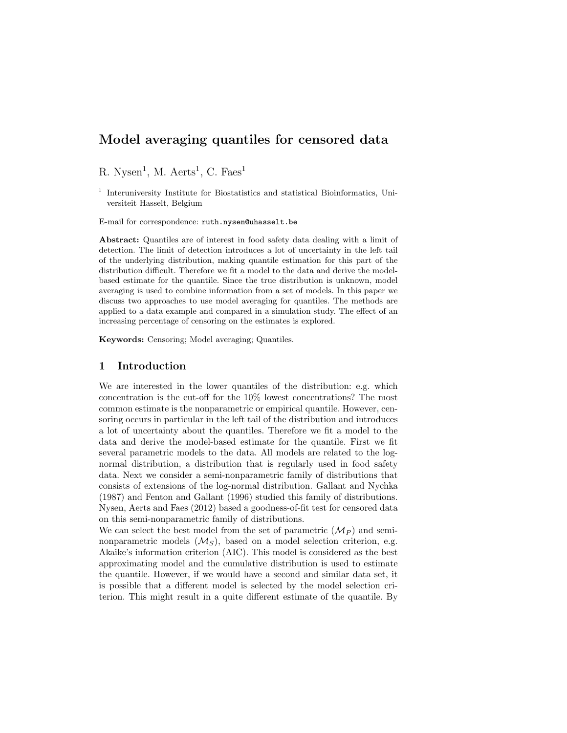R. Nysen<sup>1</sup>, M. Aerts<sup>1</sup>, C. Faes<sup>1</sup>

<sup>1</sup> Interuniversity Institute for Biostatistics and statistical Bioinformatics, Universiteit Hasselt, Belgium

E-mail for correspondence: ruth.nysen@uhasselt.be

Abstract: Quantiles are of interest in food safety data dealing with a limit of detection. The limit of detection introduces a lot of uncertainty in the left tail of the underlying distribution, making quantile estimation for this part of the distribution difficult. Therefore we fit a model to the data and derive the modelbased estimate for the quantile. Since the true distribution is unknown, model averaging is used to combine information from a set of models. In this paper we discuss two approaches to use model averaging for quantiles. The methods are applied to a data example and compared in a simulation study. The effect of an increasing percentage of censoring on the estimates is explored.

Keywords: Censoring; Model averaging; Quantiles.

### 1 Introduction

We are interested in the lower quantiles of the distribution: e.g. which concentration is the cut-off for the 10% lowest concentrations? The most common estimate is the nonparametric or empirical quantile. However, censoring occurs in particular in the left tail of the distribution and introduces a lot of uncertainty about the quantiles. Therefore we fit a model to the data and derive the model-based estimate for the quantile. First we fit several parametric models to the data. All models are related to the lognormal distribution, a distribution that is regularly used in food safety data. Next we consider a semi-nonparametric family of distributions that consists of extensions of the log-normal distribution. Gallant and Nychka (1987) and Fenton and Gallant (1996) studied this family of distributions. Nysen, Aerts and Faes (2012) based a goodness-of-fit test for censored data on this semi-nonparametric family of distributions.

We can select the best model from the set of parametric  $(\mathcal{M}_P)$  and seminonparametric models  $(M<sub>S</sub>)$ , based on a model selection criterion, e.g. Akaike's information criterion (AIC). This model is considered as the best approximating model and the cumulative distribution is used to estimate the quantile. However, if we would have a second and similar data set, it is possible that a different model is selected by the model selection criterion. This might result in a quite different estimate of the quantile. By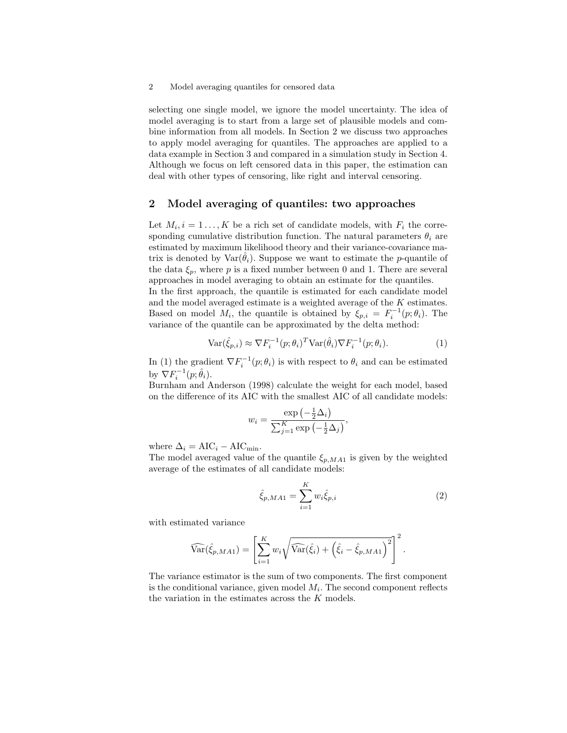selecting one single model, we ignore the model uncertainty. The idea of model averaging is to start from a large set of plausible models and combine information from all models. In Section 2 we discuss two approaches to apply model averaging for quantiles. The approaches are applied to a data example in Section 3 and compared in a simulation study in Section 4. Although we focus on left censored data in this paper, the estimation can deal with other types of censoring, like right and interval censoring.

## 2 Model averaging of quantiles: two approaches

Let  $M_i, i = 1 \ldots, K$  be a rich set of candidate models, with  $F_i$  the corresponding cumulative distribution function. The natural parameters  $\theta_i$  are estimated by maximum likelihood theory and their variance-covariance matrix is denoted by  $\text{Var}(\hat{\theta}_i)$ . Suppose we want to estimate the *p*-quantile of the data  $\xi_p$ , where p is a fixed number between 0 and 1. There are several approaches in model averaging to obtain an estimate for the quantiles.

In the first approach, the quantile is estimated for each candidate model and the model averaged estimate is a weighted average of the K estimates. Based on model  $M_i$ , the quantile is obtained by  $\xi_{p,i} = F_i^{-1}(p;\theta_i)$ . The variance of the quantile can be approximated by the delta method:

$$
\text{Var}(\hat{\xi}_{p,i}) \approx \nabla F_i^{-1}(p;\theta_i)^T \text{Var}(\hat{\theta}_i) \nabla F_i^{-1}(p;\theta_i). \tag{1}
$$

In (1) the gradient  $\nabla F_i^{-1}(p;\theta_i)$  is with respect to  $\theta_i$  and can be estimated by  $\nabla F_i^{-1}(p;\hat{\theta}_i)$ .

Burnham and Anderson (1998) calculate the weight for each model, based on the difference of its AIC with the smallest AIC of all candidate models:

$$
w_i = \frac{\exp\left(-\frac{1}{2}\Delta_i\right)}{\sum_{j=1}^K \exp\left(-\frac{1}{2}\Delta_j\right)},
$$

where  $\Delta_i = \text{AIC}_i - \text{AIC}_{\text{min}}$ .

The model averaged value of the quantile  $\xi_{p,MA1}$  is given by the weighted average of the estimates of all candidate models:

$$
\hat{\xi}_{p,MA1} = \sum_{i=1}^{K} w_i \hat{\xi}_{p,i}
$$
\n(2)

with estimated variance

$$
\widehat{\text{Var}}(\hat{\xi}_{p,MA1}) = \left[\sum_{i=1}^{K} w_i \sqrt{\widehat{\text{Var}}(\hat{\xi}_i) + \left(\hat{\xi}_i - \hat{\xi}_{p,MA1}\right)^2}\right]^2.
$$

The variance estimator is the sum of two components. The first component is the conditional variance, given model  $M_i$ . The second component reflects the variation in the estimates across the K models.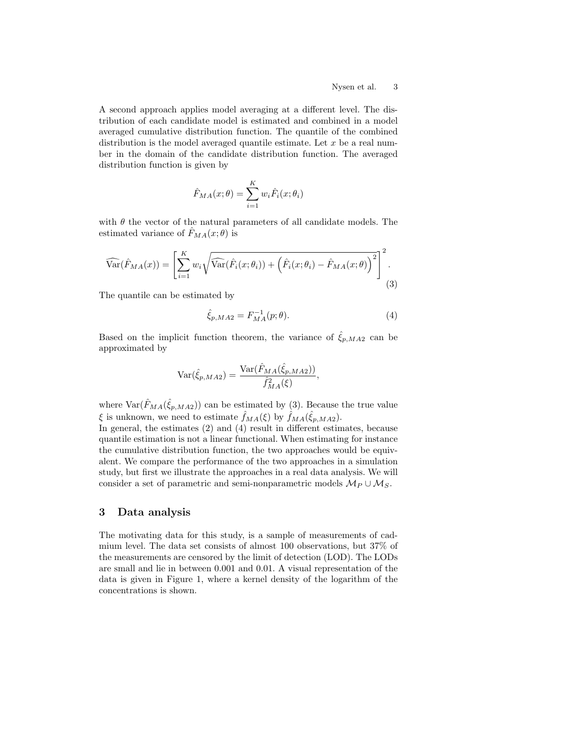A second approach applies model averaging at a different level. The distribution of each candidate model is estimated and combined in a model averaged cumulative distribution function. The quantile of the combined distribution is the model averaged quantile estimate. Let  $x$  be a real number in the domain of the candidate distribution function. The averaged distribution function is given by

$$
\hat{F}_{MA}(x; \theta) = \sum_{i=1}^{K} w_i \hat{F}_i(x; \theta_i)
$$

with  $\theta$  the vector of the natural parameters of all candidate models. The estimated variance of  $F_{MA}(x; \theta)$  is

$$
\widehat{\text{Var}}(\hat{F}_{MA}(x)) = \left[\sum_{i=1}^{K} w_i \sqrt{\widehat{\text{Var}}(\hat{F}_i(x; \theta_i)) + \left(\hat{F}_i(x; \theta_i) - \hat{F}_{MA}(x; \theta)\right)^2}\right]^2.
$$
\n(3)

The quantile can be estimated by

$$
\hat{\xi}_{p,MA2} = F_{MA}^{-1}(p;\theta).
$$
\n(4)

Based on the implicit function theorem, the variance of  $\xi_{p,MA2}$  can be approximated by

$$
\text{Var}(\hat{\xi}_{p,MA2}) = \frac{\text{Var}(\hat{F}_{MA}(\hat{\xi}_{p,MA2}))}{\hat{f}_{MA}^2(\xi)},
$$

where  $\text{Var}(\hat{F}_{MA}(\hat{\xi}_{p,MA2}))$  can be estimated by (3). Because the true value  $\xi$  is unknown, we need to estimate  $\hat{f}_{MA}(\xi)$  by  $\hat{f}_{MA}(\hat{\xi}_{p,MA2})$ .

In general, the estimates (2) and (4) result in different estimates, because quantile estimation is not a linear functional. When estimating for instance the cumulative distribution function, the two approaches would be equivalent. We compare the performance of the two approaches in a simulation study, but first we illustrate the approaches in a real data analysis. We will consider a set of parametric and semi-nonparametric models  $\mathcal{M}_P \cup \mathcal{M}_S$ .

### 3 Data analysis

The motivating data for this study, is a sample of measurements of cadmium level. The data set consists of almost 100 observations, but 37% of the measurements are censored by the limit of detection (LOD). The LODs are small and lie in between 0.001 and 0.01. A visual representation of the data is given in Figure 1, where a kernel density of the logarithm of the concentrations is shown.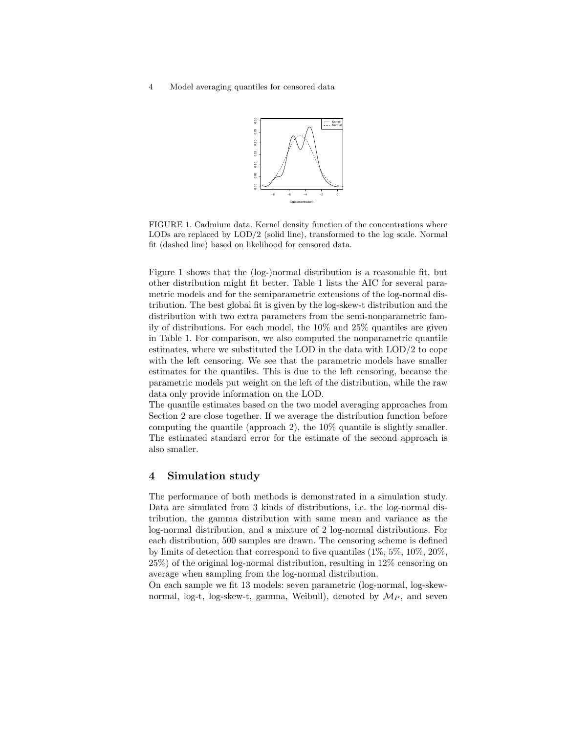

FIGURE 1. Cadmium data. Kernel density function of the concentrations where LODs are replaced by LOD/2 (solid line), transformed to the log scale. Normal fit (dashed line) based on likelihood for censored data.

Figure 1 shows that the (log-)normal distribution is a reasonable fit, but other distribution might fit better. Table 1 lists the AIC for several parametric models and for the semiparametric extensions of the log-normal distribution. The best global fit is given by the log-skew-t distribution and the distribution with two extra parameters from the semi-nonparametric family of distributions. For each model, the 10% and 25% quantiles are given in Table 1. For comparison, we also computed the nonparametric quantile estimates, where we substituted the LOD in the data with LOD/2 to cope with the left censoring. We see that the parametric models have smaller estimates for the quantiles. This is due to the left censoring, because the parametric models put weight on the left of the distribution, while the raw data only provide information on the LOD.

The quantile estimates based on the two model averaging approaches from Section 2 are close together. If we average the distribution function before computing the quantile (approach 2), the 10% quantile is slightly smaller. The estimated standard error for the estimate of the second approach is also smaller.

#### 4 Simulation study

The performance of both methods is demonstrated in a simulation study. Data are simulated from 3 kinds of distributions, i.e. the log-normal distribution, the gamma distribution with same mean and variance as the log-normal distribution, and a mixture of 2 log-normal distributions. For each distribution, 500 samples are drawn. The censoring scheme is defined by limits of detection that correspond to five quantiles  $(1\%, 5\%, 10\%, 20\%$ . 25%) of the original log-normal distribution, resulting in 12% censoring on average when sampling from the log-normal distribution.

On each sample we fit 13 models: seven parametric (log-normal, log-skewnormal, log-t, log-skew-t, gamma, Weibull), denoted by  $\mathcal{M}_P$ , and seven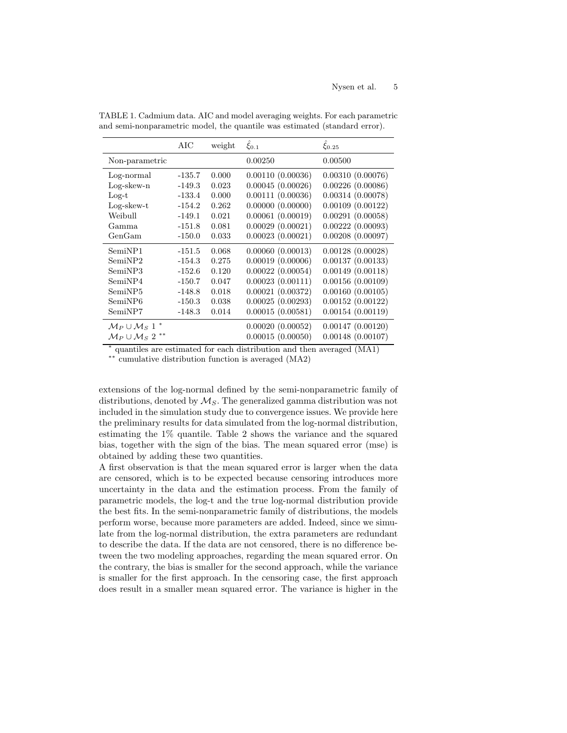|                                                                                | AIC      | weight | $\xi_{0.1}$      | $\xi_{0.25}$          |  |  |  |
|--------------------------------------------------------------------------------|----------|--------|------------------|-----------------------|--|--|--|
| Non-parametric                                                                 |          |        | 0.00250          | 0.00500               |  |  |  |
| Log-normal                                                                     | $-135.7$ | 0.000  | 0.00110(0.00036) | 0.00310(0.00076)      |  |  |  |
| $Log-skew-n$                                                                   | $-149.3$ | 0.023  | 0.00045(0.00026) | 0.00226(0.00086)      |  |  |  |
| $Log-t$                                                                        | $-133.4$ | 0.000  | 0.00111(0.00036) | 0.00314(0.00078)      |  |  |  |
| $Log-skew-t$                                                                   | $-154.2$ | 0.262  | 0.00000(0.00000) | 0.00109(0.00122)      |  |  |  |
| Weibull                                                                        | $-149.1$ | 0.021  | 0.00061(0.00019) | 0.00291(0.00058)      |  |  |  |
| Gamma                                                                          | $-151.8$ | 0.081  | 0.00029(0.00021) | 0.00222(0.00093)      |  |  |  |
| GenGam                                                                         | $-150.0$ | 0.033  | 0.00023(0.00021) | 0.00208(0.00097)      |  |  |  |
| SemiNP1                                                                        | $-151.5$ | 0.068  | 0.00060(0.00013) | 0.00128(0.00028)      |  |  |  |
| SemiNP2                                                                        | $-154.3$ | 0.275  | 0.00019(0.00006) | 0.00137(0.00133)      |  |  |  |
| SemiNP3                                                                        | $-152.6$ | 0.120  | 0.00022(0.00054) | 0.00149(0.00118)      |  |  |  |
| SemiNP4                                                                        | $-150.7$ | 0.047  | 0.00023(0.00111) | 0.00156(0.00109)      |  |  |  |
| SemiNP5                                                                        | $-148.8$ | 0.018  | 0.00021(0.00372) | 0.00160(0.00105)      |  |  |  |
| SemiNP <sub>6</sub>                                                            | $-150.3$ | 0.038  | 0.00025(0.00293) | 0.00152(0.00122)      |  |  |  |
| SemiNP7                                                                        | $-148.3$ | 0.014  | 0.00015(0.00581) | 0.00154(0.00119)      |  |  |  |
| $\mathcal{M}_P \cup \mathcal{M}_S$ 1                                           |          |        | 0.00020(0.00052) | 0.00147(0.00120)      |  |  |  |
| $\mathcal{M}_P \cup \mathcal{M}_S$ 2 <sup>**</sup>                             |          |        | 0.00015(0.00050) | $0.00148$ $(0.00107)$ |  |  |  |
| * quantiles are estimated for each distribution and then are read $(M\Lambda)$ |          |        |                  |                       |  |  |  |

TABLE 1. Cadmium data. AIC and model averaging weights. For each parametric and semi-nonparametric model, the quantile was estimated (standard error).

quantiles are estimated for each distribution and then averaged (MA1)

∗∗ cumulative distribution function is averaged (MA2)

extensions of the log-normal defined by the semi-nonparametric family of distributions, denoted by  $\mathcal{M}_S$ . The generalized gamma distribution was not included in the simulation study due to convergence issues. We provide here the preliminary results for data simulated from the log-normal distribution, estimating the 1% quantile. Table 2 shows the variance and the squared bias, together with the sign of the bias. The mean squared error (mse) is obtained by adding these two quantities.

A first observation is that the mean squared error is larger when the data are censored, which is to be expected because censoring introduces more uncertainty in the data and the estimation process. From the family of parametric models, the log-t and the true log-normal distribution provide the best fits. In the semi-nonparametric family of distributions, the models perform worse, because more parameters are added. Indeed, since we simulate from the log-normal distribution, the extra parameters are redundant to describe the data. If the data are not censored, there is no difference between the two modeling approaches, regarding the mean squared error. On the contrary, the bias is smaller for the second approach, while the variance is smaller for the first approach. In the censoring case, the first approach does result in a smaller mean squared error. The variance is higher in the